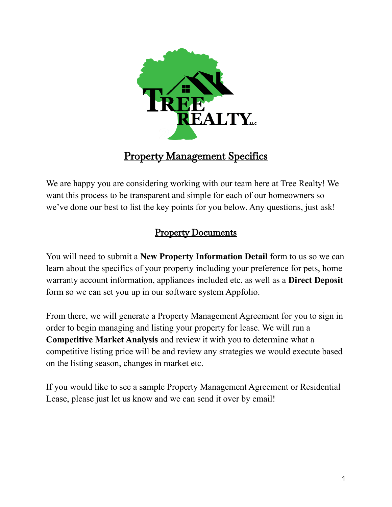

# Property Management Specifics

We are happy you are considering working with our team here at Tree Realty! We want this process to be transparent and simple for each of our homeowners so we've done our best to list the key points for you below. Any questions, just ask!

## Property Documents

You will need to submit a **New Property Information Detail** form to us so we can learn about the specifics of your property including your preference for pets, home warranty account information, appliances included etc. as well as a **Direct Deposit** form so we can set you up in our software system Appfolio.

From there, we will generate a Property Management Agreement for you to sign in order to begin managing and listing your property for lease. We will run a **Competitive Market Analysis** and review it with you to determine what a competitive listing price will be and review any strategies we would execute based on the listing season, changes in market etc.

If you would like to see a sample Property Management Agreement or Residential Lease, please just let us know and we can send it over by email!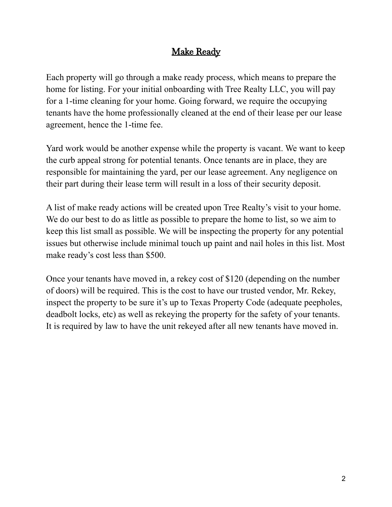## Make Ready

Each property will go through a make ready process, which means to prepare the home for listing. For your initial onboarding with Tree Realty LLC, you will pay for a 1-time cleaning for your home. Going forward, we require the occupying tenants have the home professionally cleaned at the end of their lease per our lease agreement, hence the 1-time fee.

Yard work would be another expense while the property is vacant. We want to keep the curb appeal strong for potential tenants. Once tenants are in place, they are responsible for maintaining the yard, per our lease agreement. Any negligence on their part during their lease term will result in a loss of their security deposit.

A list of make ready actions will be created upon Tree Realty's visit to your home. We do our best to do as little as possible to prepare the home to list, so we aim to keep this list small as possible. We will be inspecting the property for any potential issues but otherwise include minimal touch up paint and nail holes in this list. Most make ready's cost less than \$500.

Once your tenants have moved in, a rekey cost of \$120 (depending on the number of doors) will be required. This is the cost to have our trusted vendor, Mr. Rekey, inspect the property to be sure it's up to Texas Property Code (adequate peepholes, deadbolt locks, etc) as well as rekeying the property for the safety of your tenants. It is required by law to have the unit rekeyed after all new tenants have moved in.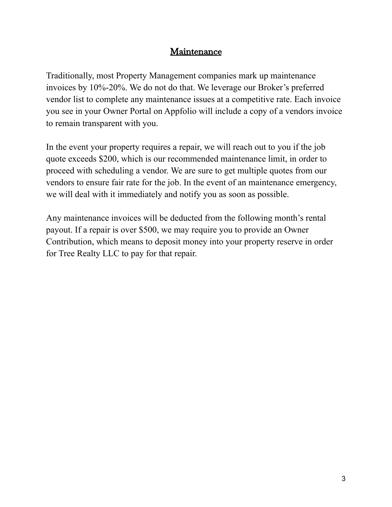#### Maintenance

Traditionally, most Property Management companies mark up maintenance invoices by 10%-20%. We do not do that. We leverage our Broker's preferred vendor list to complete any maintenance issues at a competitive rate. Each invoice you see in your Owner Portal on Appfolio will include a copy of a vendors invoice to remain transparent with you.

In the event your property requires a repair, we will reach out to you if the job quote exceeds \$200, which is our recommended maintenance limit, in order to proceed with scheduling a vendor. We are sure to get multiple quotes from our vendors to ensure fair rate for the job. In the event of an maintenance emergency, we will deal with it immediately and notify you as soon as possible.

Any maintenance invoices will be deducted from the following month's rental payout. If a repair is over \$500, we may require you to provide an Owner Contribution, which means to deposit money into your property reserve in order for Tree Realty LLC to pay for that repair.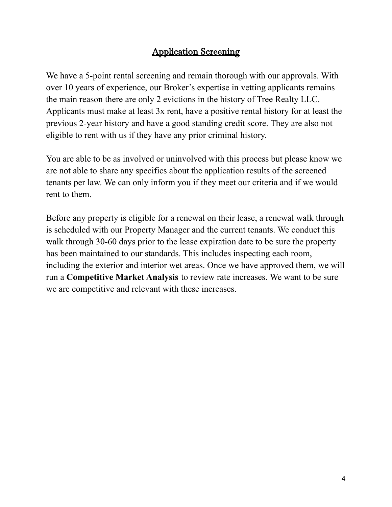## Application Screening

We have a 5-point rental screening and remain thorough with our approvals. With over 10 years of experience, our Broker's expertise in vetting applicants remains the main reason there are only 2 evictions in the history of Tree Realty LLC. Applicants must make at least 3x rent, have a positive rental history for at least the previous 2-year history and have a good standing credit score. They are also not eligible to rent with us if they have any prior criminal history.

You are able to be as involved or uninvolved with this process but please know we are not able to share any specifics about the application results of the screened tenants per law. We can only inform you if they meet our criteria and if we would rent to them.

Before any property is eligible for a renewal on their lease, a renewal walk through is scheduled with our Property Manager and the current tenants. We conduct this walk through 30-60 days prior to the lease expiration date to be sure the property has been maintained to our standards. This includes inspecting each room, including the exterior and interior wet areas. Once we have approved them, we will run a **Competitive Market Analysis** to review rate increases. We want to be sure we are competitive and relevant with these increases.